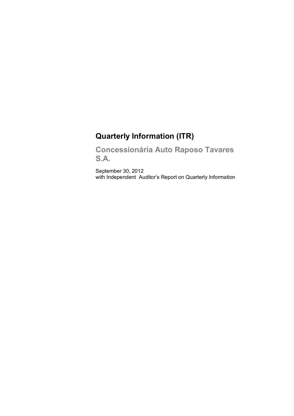# **Quarterly Information (ITR)**

**Concessionária Auto Raposo Tavares S.A.**

September 30, 2012 with Independent Auditor's Report on Quarterly Information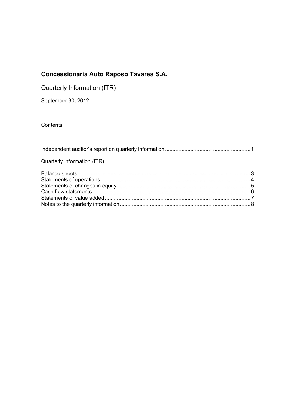| Quarterly Information (ITR) |  |
|-----------------------------|--|
|-----------------------------|--|

September 30, 2012

**Contents** 

| Quarterly information (ITR) |  |
|-----------------------------|--|
|                             |  |
|                             |  |
|                             |  |
|                             |  |
|                             |  |
|                             |  |
|                             |  |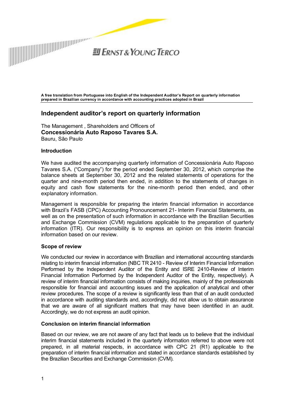

 $H$  FRNST & YOUNG TERCO

**A free translation from Portuguese into English of the Independent Auditor's Report on quarterly information prepared in Brazilian currency in accordance with accounting practices adopted in Brazil** 

### **Independent auditor's report on quarterly information**

The Management , Shareholders and Officers of **Concessionária Auto Raposo Tavares S.A.**  Bauru, São Paulo

#### **Introduction**

We have audited the accompanying quarterly information of Concessionária Auto Raposo Tavares S.A. ("Company") for the period ended September 30, 2012, which comprise the balance sheets at September 30, 2012 and the related statements of operations for the quarter and nine-month period then ended, in addition to the statements of changes in equity and cash flow statements for the nine-month period then ended, and other explanatory information.

Management is responsible for preparing the interim financial information in accordance with Brazil's FASB (CPC) Accounting Pronouncement 21- Interim Financial Statements, as well as on the presentation of such information in accordance with the Brazilian Securities and Exchange Commission (CVM) regulations applicable to the preparation of quarterly information (ITR). Our responsibility is to express an opinion on this interim financial information based on our review.

#### **Scope of review**

We conducted our review in accordance with Brazilian and international accounting standards relating to interim financial information (NBC TR 2410 - Review of Interim Financial Information Performed by the Independent Auditor of the Entity and ISRE 2410-Review of Interim Financial Information Performed by the Independent Auditor of the Entity, respectively). A review of interim financial information consists of making inquiries, mainly of the professionals responsible for financial and accounting issues and the application of analytical and other review procedures. The scope of a review is significantly less than that of an audit conducted in accordance with auditing standards and, accordingly, did not allow us to obtain assurance that we are aware of all significant matters that may have been identified in an audit. Accordingly, we do not express an audit opinion.

#### **Conclusion on interim financial information**

Based on our review, we are not aware of any fact that leads us to believe that the individual interim financial statements included in the quarterly information referred to above were not prepared, in all material respects, in accordance with CPC 21 (R1) applicable to the preparation of interim financial information and stated in accordance standards established by the Brazilian Securities and Exchange Commission (CVM).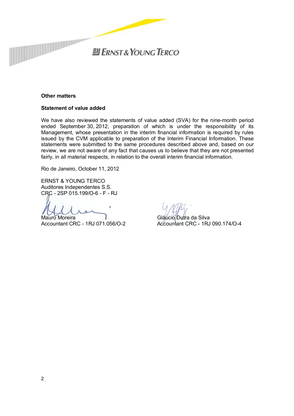

#### **Other matters**

#### **Statement of value added**

We have also reviewed the statements of value added (SVA) for the nine-month period ended September 30, 2012, preparation of which is under the responsibility of its Management, whose presentation in the interim financial information is required by rules issued by the CVM applicable to preparation of the Interim Financial Information. These statements were submitted to the same procedures described above and, based on our review, we are not aware of any fact that causes us to believe that they are not presented fairly, in all material respects, in relation to the overall interim financial information.

Rio de Janeiro, October 11, 2012

ERNST & YOUNG TERCO Auditores Independentes S.S. CRC - 2SP 015.199/O-6 - F - RJ

Mauro Moreira Accountant CRC - 1RJ 071.056/O-2

Gláucio Dutra da Silva Accountant CRC - 1RJ 090.174/O-4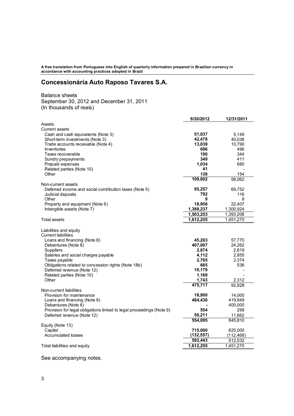**A free translation from Portuguese into English of quarterly information prepared in Brazilian currency in accordance with accounting practices adopted in Brazil** 

# **Concessionária Auto Raposo Tavares S.A.**

Balance sheets September 30, 2012 and December 31, 2011 (In thousands of reais)

|                                                                      | 9/30/2012  | 12/31/2011 |
|----------------------------------------------------------------------|------------|------------|
| Assets                                                               |            |            |
| <b>Current assets</b>                                                |            |            |
| Cash and cash equivalents (Note 3)                                   | 51,037     | 5,149      |
| Short-term investments (Note 3)                                      | 42,478     | 40,038     |
| Trade accounts receivable (Note 4)                                   | 13,039     | 10,790     |
| Inventories                                                          | 696        | 496        |
| Taxes recoverable                                                    | 190        | 344        |
| Sundry prepayments                                                   | 349        | 411        |
| Prepaid expenses                                                     | 1,034      | 680        |
| Related parties (Note 10)                                            | 41         |            |
| Other                                                                | 138        | 154        |
|                                                                      | 109,002    | 58.062     |
| Non-current assets                                                   |            |            |
| Deferred income and social contribution taxes (Note 5)               | 95,257     | 69,752     |
| Judicial deposits                                                    | 792        | 116        |
| Other                                                                | 9          | 9          |
| Property and equipment (Note 6)                                      | 18,958     | 22,407     |
| Intangible assets (Note 7)                                           | 1,388,237  | 1,300,924  |
|                                                                      | 1,503,253  | 1,393,208  |
| <b>Total assets</b>                                                  | 1,612,255  | 1,451,270  |
|                                                                      |            |            |
|                                                                      |            |            |
| Liabilities and equity                                               |            |            |
| <b>Current liabilities</b>                                           |            |            |
| Loans and financing (Note 8)                                         | 45,203     | 57,770     |
| Debentures (Note 8)                                                  | 407,007    | 24,262     |
| <b>Suppliers</b>                                                     | 2,874      | 2,819      |
| Salaries and social charges payable                                  | 4,112      | 2,855      |
| Taxes payable                                                        | 2,765      | 2,374      |
| Obligations related to concession rights (Note 18b)                  | 665        | 536        |
| Deferred revenue (Note 12)                                           | 10,179     |            |
| Related parties (Note 10)                                            | 1,169      |            |
| Other                                                                | 1,743      | 2,312      |
|                                                                      | 475,717    | 92,928     |
| Non-current liabilities                                              |            |            |
| Provision for maintenance                                            | 18,900     | 14,000     |
| Loans and financing (Note 8)                                         | 484,430    | 419,849    |
| Debentures (Note 8)                                                  |            | 400,000    |
| Provision for legal obligations linked to legal proceedings (Note 9) | 554        | 299        |
| Deferred revenue (Note 12)                                           | 50,211     | 11,662     |
|                                                                      | 554,095    | 845,810    |
| Equity (Note 13)                                                     |            |            |
| Capital                                                              | 715,000    | 625,000    |
| <b>Accumulated losses</b>                                            | (132, 557) | (112, 468) |
|                                                                      | 582,443    | 512,532    |
| Total liabilities and equity                                         | 1,612,255  | 1,451,270  |
|                                                                      |            |            |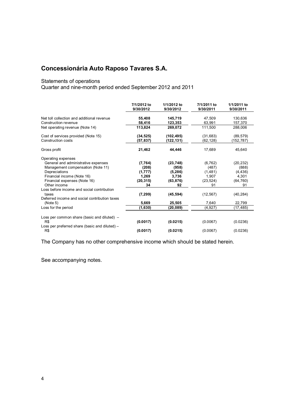# Statements of operations

Quarter and nine-month period ended September 2012 and 2011

|                                                                    | 7/1/2012 to<br>9/30/2012 | 1/1/2012 to<br>9/30/2012 | 7/1/2011 to<br>9/30/2011 | 1/1/2011 to<br>9/30/2011 |
|--------------------------------------------------------------------|--------------------------|--------------------------|--------------------------|--------------------------|
| Net toll collection and additional revenue<br>Construction revenue | 55,408<br>58,416         | 145,719<br>123,353       | 47,509<br>63,991         | 130,636<br>157,370       |
| Net operating revenue (Note 14)                                    | 113,824                  | 269,072                  | 111,500                  | 288,006                  |
| Cost of services provided (Note 15)<br>Construction costs          | (34, 525)<br>(57,837)    | (102, 495)<br>(122,131)  | (31, 683)<br>(62, 128)   | (89, 579)<br>(152,787)   |
| Gross profit                                                       | 21,462                   | 44,446                   | 17,689                   | 45,640                   |
| Operating expenses                                                 |                          |                          |                          |                          |
| General and administrative expenses                                | (7,764)                  | (23, 748)                | (6, 762)                 | (20, 232)                |
| Management compensation (Note 11)                                  | (208)                    | (958)                    | (487)                    | (888)                    |
| Depreciations                                                      | (1, 777)                 | (5, 286)                 | (1,481)                  | (4, 436)                 |
| Financial income (Note 16)                                         | 1,269                    | 3,736                    | 1,907                    | 4,301                    |
| Financial expenses (Note 16)                                       | (20, 315)                | (63, 876)                | (23, 524)                | (64, 760)                |
| Other income                                                       | 34                       | 92                       | 91                       | 91                       |
| Loss before income and social contribution<br>taxes                | (7, 299)                 | (45, 594)                | (12, 567)                | (40, 284)                |
| Deferred income and social contribution taxes<br>(Note 5)          | 5,669                    | 25,505                   | 7,640                    | 22,799                   |
| Loss for the period                                                | (1,630)                  | (20, 089)                | (4,927)                  | (17,485)                 |
| Loss per common share (basic and diluted) –                        |                          |                          |                          |                          |
| R\$                                                                | (0.0017)                 | (0.0215)                 | (0.0067)                 | (0.0236)                 |
| Loss per preferred share (basic and diluted) –<br>R\$              | (0.0017)                 | (0.0215)                 | (0.0067)                 | (0.0236)                 |

The Company has no other comprehensive income which should be stated herein.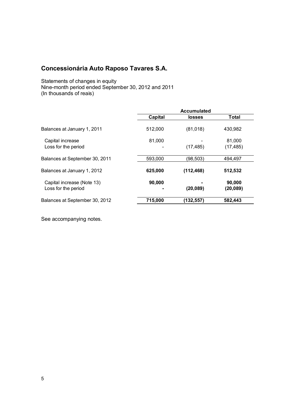Statements of changes in equity Nine-month period ended September 30, 2012 and 2011 (In thousands of reais)

|                                                   | <b>Accumulated</b> |               |                     |  |
|---------------------------------------------------|--------------------|---------------|---------------------|--|
|                                                   | <b>Capital</b>     | <b>losses</b> | Total               |  |
| Balances at January 1, 2011                       | 512,000            | (81, 018)     | 430.982             |  |
| Capital increase<br>Loss for the period           | 81,000             | (17, 485)     | 81,000<br>(17, 485) |  |
| Balances at September 30, 2011                    | 593,000            | (98, 503)     | 494,497             |  |
| Balances at January 1, 2012                       | 625,000            | (112, 468)    | 512,532             |  |
| Capital increase (Note 13)<br>Loss for the period | 90,000             | (20, 089)     | 90,000<br>(20, 089) |  |
| Balances at September 30, 2012                    | 715,000            | (132,557)     | 582,443             |  |
|                                                   |                    |               |                     |  |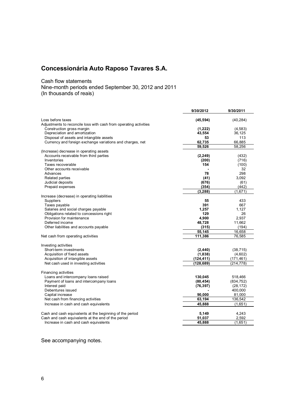Cash flow statements

Nine-month periods ended September 30, 2012 and 2011 (In thousands of reais)

|                                                                   | 9/30/2012  | 9/30/2011  |
|-------------------------------------------------------------------|------------|------------|
| Loss before taxes                                                 | (45, 594)  | (40, 284)  |
| Adjustments to reconcile loss with cash from operating activities |            |            |
| Construction gross margin                                         | (1,222)    | (4,583)    |
| Depreciation and amortization                                     | 43,554     | 36,125     |
| Disposal of assets and intangible assets                          | 53         | 113        |
| Currency and foreign exchange variations and charges, net         | 62,735     | 66,885     |
|                                                                   | 59,526     | 58,256     |
| (Increase) decrease in operating assets                           |            |            |
| Accounts receivable from third parties                            | (2, 249)   | (432)      |
| Inventories                                                       | (200)      | (716)      |
| Taxes recoverable                                                 | 154        | (100)      |
| Other accounts receivable                                         |            | 32         |
| Advances                                                          | 78         | 298        |
| <b>Related parties</b>                                            | (41)       | 3,092      |
| Judicial deposits                                                 | (676)      | (61)       |
| Prepaid expenses                                                  | (354)      | (442)      |
|                                                                   | (3, 288)   | (1,671)    |
| Increase (decrease) in operating liabilities                      |            |            |
| Suppliers                                                         | 55         | 433        |
| Taxes payable                                                     | 391        | 667        |
| Salaries and social charges payable                               | 1,257      | 1,127      |
| Obligations related to concessions right                          | 129        | 26         |
| Provision for maintenance                                         | 4,900      | 2.937      |
| Deferred income                                                   | 48,728     | 11,662     |
| Other liabilities and accounts payable                            | (315)      | (194)      |
|                                                                   | 55,145     | 16,658     |
| Net cash from operating activities                                | 111.386    | 76.585     |
| Investing activities                                              |            |            |
| Short-term investments                                            | (2, 440)   | (38, 715)  |
| Acquisition of fixed assets                                       | (1,838)    | (4,602)    |
| Acquisition of intangible assets                                  | (124, 411) | (171, 461) |
| Net cash used in investing activities                             | (128,689)  | (214, 778) |
|                                                                   |            |            |
| Financing activities                                              |            |            |
| Loans and intercompany loans raised                               | 130,045    | 518,466    |
| Payment of loans and intercompany loans                           | (80, 454)  | (834, 752) |
| Interest paid                                                     | (76, 397)  | (28, 172)  |
| Debentures issued                                                 |            | 400,000    |
| Capital increase                                                  | 90,000     | 81,000     |
| Net cash from financing activities                                | 63,194     | 136,542    |
| Increase in cash and cash equivalents                             | 45,888     | (1,651)    |
| Cash and cash equivalents at the beginning of the period          | 5,149      | 4,243      |
| Cash and cash equivalents at the end of the period                | 51,037     | 2,592      |
| Increase in cash and cash equivalents                             | 45,888     | (1,651)    |
|                                                                   |            |            |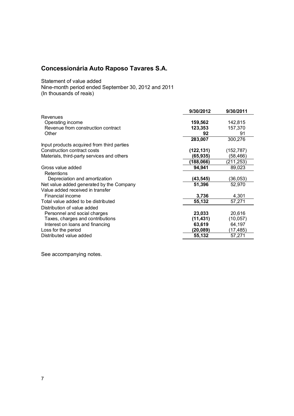Statement of value added

Nine-month period ended September 30, 2012 and 2011 (In thousands of reais)

| 9/30/2012  | 9/30/2011  |
|------------|------------|
|            |            |
| 159,562    | 142,815    |
|            | 157,370    |
| 92         | 91         |
| 283,007    | 300,276    |
|            |            |
| (122, 131) | (152, 787) |
| (65, 935)  | (58,466)   |
| (188,066)  | (211,253)  |
| 94,941     | 89,023     |
|            |            |
| (43, 545)  | (36, 053)  |
| 51,396     | 52,970     |
|            |            |
| 3,736      | 4,301      |
| 55,132     | 57,271     |
|            |            |
| 23,033     | 20,616     |
| (11, 431)  | (10, 057)  |
| 63,619     | 64,197     |
| (20,089)   | (17,485)   |
| 55,132     | 57,271     |
|            | 123,353    |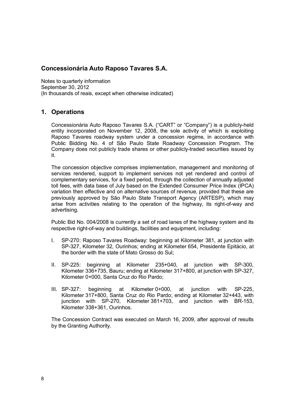Notes to quarterly information September 30, 2012 (In thousands of reais, except when otherwise indicated)

# **1. Operations**

Concessionária Auto Raposo Tavares S.A. ("CART" or "Company") is a publicly-held entity incorporated on November 12, 2008, the sole activity of which is exploiting Raposo Tavares roadway system under a concession regime, in accordance with Public Bidding No. 4 of São Paulo State Roadway Concession Program. The Company does not publicly trade shares or other publicly-traded securities issued by it.

The concession objective comprises implementation, management and monitoring of services rendered, support to implement services not yet rendered and control of complementary services, for a fixed period, through the collection of annually adjusted toll fees, with data base of July based on the Extended Consumer Price Index (IPCA) variation then effective and on alternative sources of revenue, provided that these are previously approved by São Paulo State Transport Agency (ARTESP), which may arise from activities relating to the operation of the highway, its right-of-way and advertising.

Public Bid No. 004/2008 is currently a set of road lanes of the highway system and its respective right-of-way and buildings, facilities and equipment, including:

- I. SP-270: Raposo Tavares Roadway: beginning at Kilometer 381, at junction with SP-327, Kilometer 32, Ourinhos; ending at Kilometer 654, Presidente Epitácio, at the border with the state of Mato Grosso do Sul;
- II. SP-225: beginning at Kilometer 235+040, at junction with SP-300, Kilometer 336+735, Bauru; ending at Kilometer 317+800, at junction with SP-327, Kilometer 0+000, Santa Cruz do Rio Pardo;
- III. SP-327: beginning at Kilometer 0+000, at junction with SP-225, Kilometer 317+800, Santa Cruz do Rio Pardo; ending at Kilometer 32+443, with junction with SP-270, Kilometer 381+703, and junction with BR-153, Kilometer 338+361, Ourinhos.

The Concession Contract was executed on March 16, 2009, after approval of results by the Granting Authority.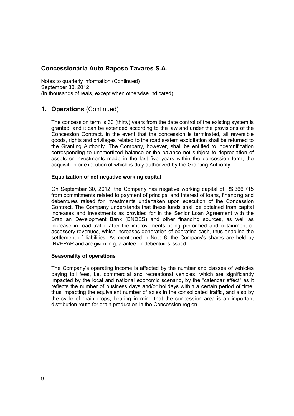Notes to quarterly information (Continued) September 30, 2012 (In thousands of reais, except when otherwise indicated)

# **1. Operations** (Continued)

The concession term is 30 (thirty) years from the date control of the existing system is granted, and it can be extended according to the law and under the provisions of the Concession Contract. In the event that the concession is terminated, all reversible goods, rights and privileges related to the road system exploitation shall be returned to the Granting Authority. The Company, however, shall be entitled to indemnification corresponding to unamortized balance or the balance not subject to depreciation of assets or investments made in the last five years within the concession term, the acquisition or execution of which is duly authorized by the Granting Authority.

#### **Equalization of net negative working capital**

On September 30, 2012, the Company has negative working capital of R\$ 366,715 from commitments related to payment of principal and interest of loans, financing and debentures raised for investments undertaken upon execution of the Concession Contract. The Company understands that these funds shall be obtained from capital increases and investments as provided for in the Senior Loan Agreement with the Brazilian Development Bank (BNDES) and other financing sources, as well as increase in road traffic after the improvements being performed and obtainment of accessory revenues, which increases generation of operating cash, thus enabling the settlement of liabilities. As mentioned in Note 8, the Company's shares are held by INVEPAR and are given in guarantee for debentures issued.

#### **Seasonality of operations**

The Company's operating income is affected by the number and classes of vehicles paying toll fees, i.e. commercial and recreational vehicles, which are significantly impacted by the local and national economic scenario, by the "calendar effect" as it reflects the number of business days and/or holidays within a certain period of time, thus impacting the equivalent number of axles in the consolidated traffic, and also by the cycle of grain crops, bearing in mind that the concession area is an important distribution route for grain production in the Concession region.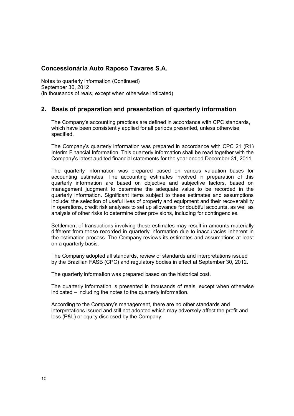Notes to quarterly information (Continued) September 30, 2012 (In thousands of reais, except when otherwise indicated)

# **2. Basis of preparation and presentation of quarterly information**

The Company's accounting practices are defined in accordance with CPC standards, which have been consistently applied for all periods presented, unless otherwise specified.

The Company's quarterly information was prepared in accordance with CPC 21 (R1) Interim Financial Information. This quarterly information shall be read together with the Company's latest audited financial statements for the year ended December 31, 2011.

The quarterly information was prepared based on various valuation bases for accounting estimates. The accounting estimates involved in preparation of this quarterly information are based on objective and subjective factors, based on management judgment to determine the adequate value to be recorded in the quarterly information. Significant items subject to these estimates and assumptions include: the selection of useful lives of property and equipment and their recoverability in operations, credit risk analyses to set up allowance for doubtful accounts, as well as analysis of other risks to determine other provisions, including for contingencies.

Settlement of transactions involving these estimates may result in amounts materially different from those recorded in quarterly information due to inaccuracies inherent in the estimation process. The Company reviews its estimates and assumptions at least on a quarterly basis.

The Company adopted all standards, review of standards and interpretations issued by the Brazilian FASB (CPC) and regulatory bodies in effect at September 30, 2012.

The quarterly information was prepared based on the historical cost.

The quarterly information is presented in thousands of reais, except when otherwise indicated – including the notes to the quarterly information.

According to the Company's management, there are no other standards and interpretations issued and still not adopted which may adversely affect the profit and loss (P&L) or equity disclosed by the Company.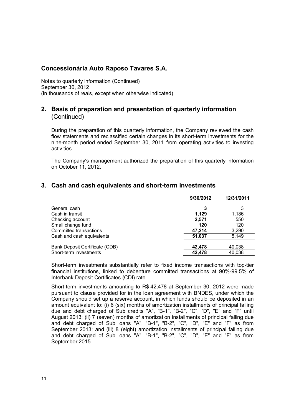Notes to quarterly information (Continued) September 30, 2012 (In thousands of reais, except when otherwise indicated)

# **2. Basis of preparation and presentation of quarterly information**  (Continued)

During the preparation of this quarterly information, the Company reviewed the cash flow statements and reclassified certain changes in its short-term investments for the nine-month period ended September 30, 2011 from operating activities to investing activities.

The Company's management authorized the preparation of this quarterly information on October 11, 2012.

# **3. Cash and cash equivalents and short-term investments**

|                                | 9/30/2012 | 12/31/2011 |
|--------------------------------|-----------|------------|
| General cash                   | 3         | 3          |
| Cash in transit                | 1.129     | 1.186      |
| Checking account               | 2,571     | 550        |
| Small change fund              | 120       | 120        |
| Committed transactions         | 47,214    | 3,290      |
| Cash and cash equivalents      | 51.037    | 5.149      |
|                                |           |            |
| Bank Deposit Certificate (CDB) | 42.478    | 40.038     |
| Short-term investments         | 42,478    | 40,038     |

Short-term investments substantially refer to fixed income transactions with top-tier financial institutions, linked to debenture committed transactions at 90%-99.5% of Interbank Deposit Certificates (CDI) rate.

Short-term investments amounting to R\$ 42,478 at September 30, 2012 were made pursuant to clause provided for in the loan agreement with BNDES, under which the Company should set up a reserve account, in which funds should be deposited in an amount equivalent to: (i) 6 (six) months of amortization installments of principal falling due and debt charged of Sub credits "A", "B-1", "B-2", "C", "D", "E" and "F" until August 2013; (ii) 7 (seven) months of amortization installments of principal falling due and debt charged of Sub loans "A", "B-1", "B-2", "C", "D", "E" and "F" as from September 2013; and (iii) 8 (eight) amortization installments of principal falling due and debt charged of Sub loans "A", "B-1", "B-2", "C", "D", "E" and "F" as from September 2015.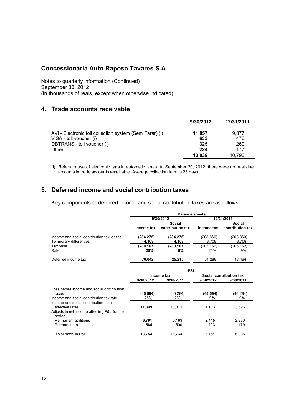Notes to quarterly information (Continued) September 30, 2012 (In thousands of reais, except when otherwise indicated)

# **4. Trade accounts receivable**

|                                                         | 9/30/2012 | 12/31/2011 |
|---------------------------------------------------------|-----------|------------|
| AVI - Electronic toll collection system (Sem Parar) (i) | 11,857    | 9.877      |
| VISA - toll voucher (i)                                 | 633       | 476        |
| DBTRANS - toll voucher (i)                              | 325       | 260        |
| Other                                                   | 224       | 177        |
|                                                         | 13.039    | 10.790     |

(i) Refers to use of electronic tags in automatic lanes. At September 30, 2012, there were no past due amounts in trade accounts receivable. Average collection term is 23 days.

# **5. Deferred income and social contribution taxes**

Key components of deferred income and social contribution taxes are as follows:

|                                                                                                           |                     | <b>Balance sheets</b>      |                         |                            |  |
|-----------------------------------------------------------------------------------------------------------|---------------------|----------------------------|-------------------------|----------------------------|--|
|                                                                                                           | 9/30/2012           |                            |                         | 12/31/2011                 |  |
|                                                                                                           | Income tax          | Social<br>contribution tax | Income tax              | Social<br>contribution tax |  |
| Income and social contribution tax losses<br>Temporary differences                                        | (284, 275)<br>4,108 | (284, 275)<br>4.108        | (208, 860)<br>3.708     | (208, 860)<br>3.708        |  |
| Tax base<br>Rate                                                                                          | (280, 167)<br>25%   | (280, 167)<br>9%           | (205, 152)<br>25%       | (205, 152)<br>9%           |  |
| Deferred income tax                                                                                       | 70,042              | 25,215                     | 51,288                  | 18,464                     |  |
|                                                                                                           | P&L                 |                            |                         |                            |  |
|                                                                                                           |                     | Income tax                 | Social contribution tax |                            |  |
|                                                                                                           | 9/30/2012           | 9/30/2011                  | 9/30/2012               | 9/30/2011                  |  |
| Loss before income and social contribution<br>taxes<br>Income and social contribution tax rate            | (45, 594)<br>25%    | (40, 284)<br>25%           | (45, 594)<br>9%         | (40, 284)<br>9%            |  |
| Income and social contribution taxes at<br>effective rates<br>Adjusts in net income affecting P&L for the | 11,399              | 10,071                     | 4,103                   | 3,626                      |  |
| period<br>Permanent additions<br>Permanent exclusions                                                     | 6.791<br>564        | 6,193<br>500               | 2,445<br>203            | 2,230<br>179               |  |
| Total taxes in P&L                                                                                        | 18,754              | 16,764                     | 6,751                   | 6,035                      |  |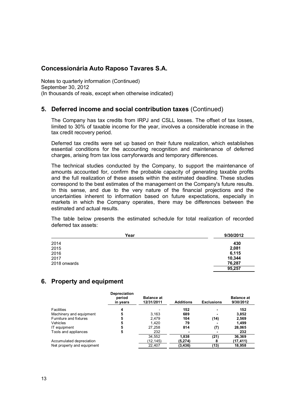Notes to quarterly information (Continued) September 30, 2012 (In thousands of reais, except when otherwise indicated)

# **5. Deferred income and social contribution taxes** (Continued)

The Company has tax credits from IRPJ and CSLL losses. The offset of tax losses, limited to 30% of taxable income for the year, involves a considerable increase in the tax credit recovery period.

Deferred tax credits were set up based on their future realization, which establishes essential conditions for the accounting recognition and maintenance of deferred charges, arising from tax loss carryforwards and temporary differences.

The technical studies conducted by the Company, to support the maintenance of amounts accounted for, confirm the probable capacity of generating taxable profits and the full realization of these assets within the estimated deadline. These studies correspond to the best estimates of the management on the Company's future results. In this sense, and due to the very nature of the financial projections and the uncertainties inherent to information based on future expectations, especially in markets in which the Company operates, there may be differences between the estimated and actual results.

The table below presents the estimated schedule for total realization of recorded deferred tax assets:

| Year         | 9/30/2012 |
|--------------|-----------|
| 2014         | 430       |
| 2015         | 2,081     |
| 2016         | 6,115     |
| 2017         | 10,344    |
| 2018 onwards | 76,287    |
|              | 95,257    |

# **6. Property and equipment**

|                            | <b>Depreciation</b><br>period<br>in years | <b>Balance at</b><br>12/31/2011 | <b>Additions</b> | <b>Exclusions</b> | <b>Balance at</b><br>9/30/2012 |
|----------------------------|-------------------------------------------|---------------------------------|------------------|-------------------|--------------------------------|
| <b>Facilities</b>          | 4                                         |                                 | 152              |                   | 152                            |
| Machinery and equipment    | 5                                         | 3.163                           | 689              |                   | 3,852                          |
| Furniture and fixtures     | 5                                         | 2.479                           | 104              | (14)              | 2,569                          |
| <b>Vehicles</b>            | 5                                         | 1.420                           | 79               |                   | 1.499                          |
| IT equipment               | 5                                         | 27,258                          | 814              | (7)               | 28,065                         |
| Tools and appliances       | 5                                         | 232                             |                  |                   | 232                            |
|                            |                                           | 34,552                          | 1.838            | (21)              | 36,369                         |
| Accumulated depreciation   |                                           | (12,145)                        | (5,274)          | 8                 | (17,411)                       |
| Net property and equipment |                                           | 22,407                          | (3, 436)         | (13)              | 18,958                         |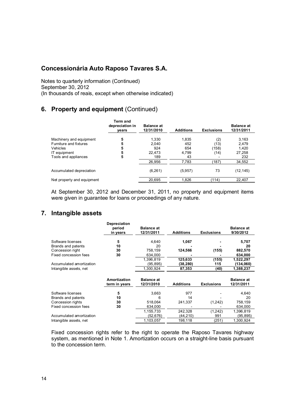Notes to quarterly information (Continued) September 30, 2012 (In thousands of reais, except when otherwise indicated)

# **6. Property and equipment** (Continued)

|                            | <b>Term and</b><br>depreciation in<br>vears | <b>Balance at</b><br>12/31/2010 | <b>Additions</b> | <b>Exclusions</b> | <b>Balance at</b><br>12/31/2011 |
|----------------------------|---------------------------------------------|---------------------------------|------------------|-------------------|---------------------------------|
| Machinery and equipment    | 5                                           | 1.330                           | 1,835            | (2)               | 3,163                           |
| Furniture and fixtures     | 5                                           | 2.040                           | 452              | (13)              | 2.479                           |
| Vehicles                   | 5                                           | 924                             | 654              | (158)             | 1.420                           |
| IT equipment               | 5                                           | 22.473                          | 4,799            | (14)              | 27,258                          |
| Tools and appliances       | 5                                           | 189                             | 43               |                   | 232                             |
|                            |                                             | 26,956                          | 7,783            | (187)             | 34,552                          |
| Accumulated depreciation   |                                             | (6,261)                         | (5,957)          | 73                | (12,145)                        |
| Net property and equipment |                                             | 20.695                          | 1.826            | (114)             | 22,407                          |
|                            |                                             |                                 |                  |                   |                                 |

At September 30, 2012 and December 31, 2011, no property and equipment items were given in guarantee for loans or proceedings of any nature.

# **7. Intangible assets**

|                                        | <b>Depreciation</b><br>period<br>in years | <b>Balance at</b><br>12/31/2011 | <b>Additions</b>     | <b>Exclusions</b> | <b>Balance at</b><br>9/30/2012  |
|----------------------------------------|-------------------------------------------|---------------------------------|----------------------|-------------------|---------------------------------|
| Software licenses                      | 5                                         | 4,640                           | 1,067                |                   | 5,707                           |
| Brands and patents<br>Concession right | 10<br>30                                  | 20<br>758,159                   | 124,566              | (155)             | 20<br>882,570                   |
| Fixed concession fees                  | 30                                        | 634,000                         |                      |                   | 634,000                         |
| Accumulated amortization               |                                           | 1.396.819<br>(95,895)           | 125,633<br>(38,280)  | (155)<br>115      | 1,522,297<br>(134,060)          |
| Intangible assets, net                 |                                           | 1,300,924                       | 87,353               | (40)              | 1,388,237                       |
|                                        | Amortization<br>term in years             | <b>Balance at</b><br>12/31/2010 | <b>Additions</b>     | <b>Exclusions</b> | <b>Balance at</b><br>12/31/2011 |
| Software licenses                      | 5                                         | 3,663                           | 977                  |                   | 4,640                           |
| Brands and patents                     | 10                                        | 6                               | 14                   |                   | 20                              |
| Concession rights                      | 30                                        | 518,064                         | 241,337              | (1,242)           | 758,159                         |
| Fixed concession fees                  | 30                                        | 634,000                         |                      |                   | 634,000                         |
| Accumulated amortization               |                                           | 1,155,733<br>(52,676)           | 242,328<br>(44, 210) | (1,242)<br>991    | 1,396,819<br>(95,895)           |
| Intangible assets, net                 |                                           | 1.103.057                       | 198,118              | (251)             | 1,300,924                       |

Fixed concession rights refer to the right to operate the Raposo Tavares highway system, as mentioned in Note 1. Amortization occurs on a straight-line basis pursuant to the concession term.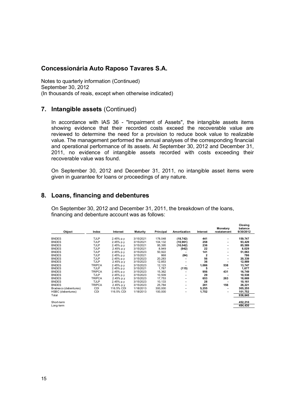Notes to quarterly information (Continued) September 30, 2012 (In thousands of reais, except when otherwise indicated)

### **7. Intangible assets** (Continued)

In accordance with IAS 36 - "Impairment of Assets", the intangible assets items showing evidence that their recorded costs exceed the recoverable value are reviewed to determine the need for a provision to reduce book value to realizable value. The management performed the annual analyses of the corresponding financial and operational performance of its assets. At September 30, 2012 and December 31, 2011, no evidence of intangible assets recorded with costs exceeding their recoverable value was found.

On September 30, 2012 and December 31, 2011, no intangible asset items were given in guarantee for loans or proceedings of any nature.

### **8. Loans, financing and debentures**

On September 30, 2012 and December 31, 2011, the breakdown of the loans, financing and debenture account was as follows:

|                       |               |            |           |           |                          |          | Monetary    | balance   |
|-----------------------|---------------|------------|-----------|-----------|--------------------------|----------|-------------|-----------|
| Object                | Index         | Interest   | Maturity  | Principal | Amortization             | Interest | restatement | 9/30/2012 |
| <b>BNDES</b>          | TJLP          | 2.45% p.y  | 3/15/2021 | 178,048   | (18, 742)                | 441      | ۰           | 159,747   |
| <b>BNDES</b>          | <b>TJLP</b>   | 2.45% p.y  | 3/15/2021 | 104,132   | (10, 961)                | 258      |             | 93,429    |
| <b>BNDES</b>          | <b>TJLP</b>   | 2.45% p.y  | 3/15/2021 | 95,395    | (10, 042)                | 236      |             | 85,589    |
| <b>BNDES</b>          | <b>TJLP</b>   | 2.45% p.y  | 3/15/2021 | 8,949     | (942)                    | 22       |             | 8,029     |
| <b>BNDES</b>          | <b>TJLP</b>   | 2.45% p.y  | 3/15/2023 | 50,922    |                          | 141      |             | 51,063    |
|                       |               |            |           |           |                          |          |             |           |
| <b>BNDES</b>          | <b>TJLP</b>   | 2.45% p.y  | 3/15/2021 | 868       | (84)                     | 2        |             | 786       |
| <b>BNDES</b>          | TJLP          | 2.45% p.y  | 3/15/2023 | 20,283    |                          | 56       |             | 20,339    |
| <b>BNDES</b>          | <b>TJLP</b>   | 2.45% p.y  | 3/15/2023 | 12,853    |                          | 36       |             | 12,889    |
| <b>BNDES</b>          | <b>TRIPCA</b> | 2.45% p.y  | 3/15/2023 | 12,123    |                          | 1,086    | 538         | 13,747    |
| <b>BNDES</b>          | <b>TJLP</b>   | 2.45% p.y  | 3/15/2021 | 1,787     | (115)                    | 5        |             | 1,677     |
| <b>BNDES</b>          | TRIPCA        | 2.45% p.y  | 3/15/2023 | 15,362    |                          | 956      | 431         | 16,749    |
| <b>BNDES</b>          | <b>TJLP</b>   | 2.45% p.y  | 3/15/2023 | 10,509    |                          | 29       |             | 10,538    |
| <b>BNDES</b>          | <b>TRIPCA</b> | 2.45% p.y  | 3/15/2023 | 17,753    | $\overline{\phantom{a}}$ | 653      | 263         | 18,669    |
| <b>BNDES</b>          | TJLP          | 2.45% p.y  | 3/15/2023 | 10,133    |                          | 28       |             | 10,161    |
| <b>BNDES</b>          | <b>TRIPCA</b> | 2.45% p.y  | 3/15/2023 | 25,784    |                          | 281      | 156         | 26,221    |
| Bradesco (debentures) | CDI           | 116.5% CDI | 1/18/2013 | 300,000   |                          | 5,255    |             | 305,255   |
| HSBC (debentures)     | CDI           | 116.5% CDI | 1/18/2013 | 100,000   | $\overline{\phantom{a}}$ | 1,752    |             | 101,752   |
| Total                 |               |            |           |           |                          |          |             | 936,640   |
| Short-term            |               |            |           |           |                          |          |             | 452,210   |
| Long-term             |               |            |           |           |                          |          |             | 484,430   |
|                       |               |            |           |           |                          |          |             |           |

**Closing**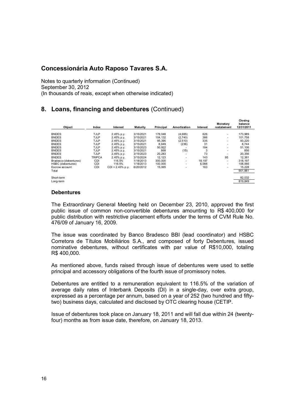Notes to quarterly information (Continued) September 30, 2012 (In thousands of reais, except when otherwise indicated)

# **8. Loans, financing and debentures** (Continued)

|                       |               |                    |           |           |              |          |             | ------     |  |
|-----------------------|---------------|--------------------|-----------|-----------|--------------|----------|-------------|------------|--|
|                       |               |                    |           |           |              |          | Monetary    | balance    |  |
| Object                | Index         | Interest           | Maturity  | Principal | Amortization | Interest | restatement | 12/31/2011 |  |
| <b>BNDES</b>          | <b>TJLP</b>   | 2.45% p.y.         | 3/15/2021 | 178.048   | (4.685)      | 626      |             | 173.989    |  |
| <b>BNDES</b>          | <b>TJLP</b>   | 2.45% p.y.         | 3/15/2021 | 104,132   | (2,740)      | 366      | ٠<br>٠      | 101,758    |  |
| <b>BNDES</b>          | <b>TJLP</b>   | 2.45% p.y.         | 3/15/2021 | 95.395    | (2, 510)     | 335      | ۰.          | 93,220     |  |
| <b>BNDES</b>          | <b>TJLP</b>   | 2.45% p.y.         | 3/15/2021 | 8,949     | (236)        | 31       | ۰.          | 8.744      |  |
| <b>BNDES</b>          | <b>TJLP</b>   | 2.45% p.y.         | 3/15/2023 | 50.922    |              | 184      | ۰.          | 51.106     |  |
| <b>BNDES</b>          | <b>TJLP</b>   | 2.45% p.y.         | 3/15/2021 | 868       | (15)         | 3        | ۰.          | 856        |  |
| <b>BNDES</b>          | <b>TJLP</b>   | 2.45% p.y.         | 3/15/2023 | 20,283    |              | 73       | ۰           | 20,356     |  |
| <b>BNDES</b>          | <b>TRIPCA</b> | 2.45% p.y.         | 3/15/2024 | 12.123    | ٠            | 143      | 95          | 12.361     |  |
| Bradesco (debentures) | <b>CDI</b>    | 116.5%             | 1/18/2013 | 300,000   | ۰            | 18,197   | ۰           | 318,197    |  |
| HSBC (debentures)     | <b>CDI</b>    | 116.5%             | 1/18/2013 | 100,000   | ۰            | 6.066    | ۰.          | 106.066    |  |
| Escrow account        | <b>CDI</b>    | $CDI + 2.43% p.v.$ | 6/20/2012 | 15,065    |              | 163      | ۰.          | 15,228     |  |
| Total                 |               |                    |           |           |              |          |             | 901,881    |  |
|                       |               |                    |           |           |              |          |             |            |  |
| Short-term            |               |                    |           |           |              |          |             | 82,032     |  |
| Long-term             |               |                    |           |           |              |          |             | 819,849    |  |
|                       |               |                    |           |           |              |          |             |            |  |

**Closing** 

#### **Debentures**

The Extraordinary General Meeting held on December 23, 2010, approved the first public issue of common non-convertible debentures amounting to R\$ 400,000 for public distribution with restrictive placement efforts under the terms of CVM Rule No. 476/09 of January 16, 2009.

The issue was coordinated by Banco Bradesco BBI (lead coordinator) and HSBC Corretora de Títulos Mobiliários S.A., and composed of forty Debentures, issued nominative debentures, without certificates with par value of R\$10,000, totaling R\$ 400,000.

As mentioned above, funds raised through issue of debentures were used to settle principal and accessory obligations of the fourth issue of promissory notes.

Debentures are entitled to a remuneration equivalent to 116.5% of the variation of average daily rates of Interbank Deposits (DI) in a single-day, over extra group, expressed as a percentage per annum, based on a year of 252 (two hundred and fiftytwo) business days, calculated and disclosed by OTC clearing house (CETIP.

Issue of debentures took place on January 18, 2011 and will fall due within 24 (twentyfour) months as from issue date, therefore, on January 18, 2013.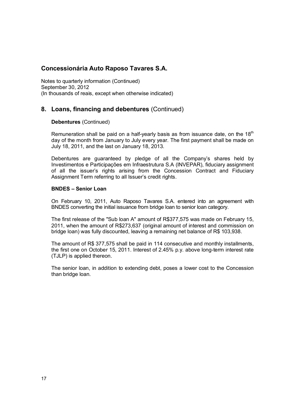Notes to quarterly information (Continued) September 30, 2012 (In thousands of reais, except when otherwise indicated)

# **8. Loans, financing and debentures** (Continued)

#### **Debentures** (Continued)

Remuneration shall be paid on a half-yearly basis as from issuance date, on the  $18<sup>th</sup>$ day of the month from January to July every year. The first payment shall be made on July 18, 2011, and the last on January 18, 2013.

Debentures are guaranteed by pledge of all the Company's shares held by Investimentos e Participações em Infraestrutura S.A (INVEPAR), fiduciary assignment of all the issuer's rights arising from the Concession Contract and Fiduciary Assignment Term referring to all Issuer's credit rights.

#### **BNDES – Senior Loan**

On February 10, 2011, Auto Raposo Tavares S.A. entered into an agreement with BNDES converting the initial issuance from bridge loan to senior loan category.

The first release of the "Sub loan A" amount of R\$377,575 was made on February 15, 2011, when the amount of R\$273,637 (original amount of interest and commission on bridge loan) was fully discounted, leaving a remaining net balance of R\$ 103,938.

The amount of R\$ 377,575 shall be paid in 114 consecutive and monthly installments, the first one on October 15, 2011. Interest of 2.45% p.y. above long-term interest rate (TJLP) is applied thereon.

The senior loan, in addition to extending debt, poses a lower cost to the Concession than bridge loan.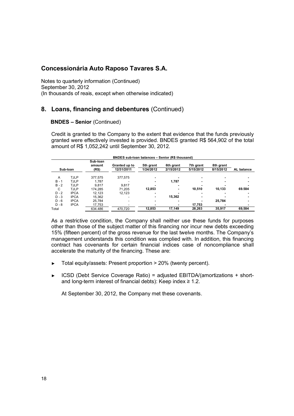Notes to quarterly information (Continued) September 30, 2012 (In thousands of reais, except when otherwise indicated)

# **8. Loans, financing and debentures** (Continued)

#### **BNDES – Senior** (Continued)

Credit is granted to the Company to the extent that evidence that the funds previously granted were effectively invested is provided. BNDES granted R\$ 564,902 of the total amount of R\$ 1,052,242 until September 30, 2012.

|         | <b>BNDES sub-loan balances - Senior (R\$ thousand)</b> |                             |                             |                        |                        |                        |                        |            |  |  |
|---------|--------------------------------------------------------|-----------------------------|-----------------------------|------------------------|------------------------|------------------------|------------------------|------------|--|--|
|         | Sub-Ioan                                               | Sub-loan<br>amount<br>(R\$) | Granted up to<br>12/31/2011 | 5th grant<br>1/24/2012 | 6th grant<br>2/15/2012 | 7th grant<br>5/15/2012 | 8th grant<br>8/15/2012 | AL balance |  |  |
| A       | <b>TJLP</b>                                            | 377.575                     | 377,575                     |                        |                        |                        |                        |            |  |  |
| $B - 1$ | <b>TJLP</b>                                            | 1.787                       |                             |                        | 1,787                  | ۰                      |                        |            |  |  |
| $B - 2$ | <b>TJLP</b>                                            | 9.817                       | 9.817                       |                        |                        |                        |                        |            |  |  |
| C       | <b>TJLP</b>                                            | 174.285                     | 71.205                      | 12.853                 | ۰                      | 10.510                 | 10.133                 | 69.584     |  |  |
| $D - 2$ | <b>IPCA</b>                                            | 12.123                      | 12.123                      |                        |                        |                        |                        |            |  |  |
| $D - 3$ | <b>IPCA</b>                                            | 15.362                      |                             |                        | 15,362                 |                        |                        |            |  |  |
| $D - 6$ | <b>IPCA</b>                                            | 25.784                      |                             |                        |                        |                        | 25.784                 |            |  |  |
| $D - 8$ | <b>IPCA</b>                                            | 17.753                      |                             |                        |                        | 17.753                 |                        |            |  |  |
| Total   |                                                        | 634.486                     | 470,720                     | 12,853                 | 17,149                 | 28,263                 | 35,917                 | 69,584     |  |  |

As a restrictive condition, the Company shall neither use these funds for purposes other than those of the subject matter of this financing nor incur new debts exceeding 15% (fifteen percent) of the gross revenue for the last twelve months. The Company's management understands this condition was complied with. In addition, this financing contract has covenants for certain financial indices case of noncompliance shall accelerate the maturity of the financing. These are:

- ► Total equity/assets: Present proportion > 20% (twenty percent).
- ► ICSD (Debt Service Coverage Ratio) = adjusted EBITDA/(amortizations + shortand long-term interest of financial debts): Keep index  $\geq 1.2$ .

At September 30, 2012, the Company met these covenants.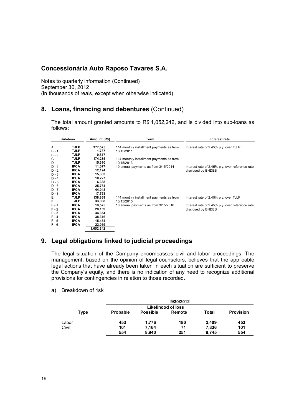Notes to quarterly information (Continued) September 30, 2012 (In thousands of reais, except when otherwise indicated)

# **8. Loans, financing and debentures** (Continued)

The total amount granted amounts to R\$ 1,052,242, and is divided into sub-loans as follows:

| Sub-loan                      |                                           | Amount (R\$)               | Term                                                   | Interest rate                                                         |  |  |
|-------------------------------|-------------------------------------------|----------------------------|--------------------------------------------------------|-----------------------------------------------------------------------|--|--|
| Α<br>$B - 1$                  | TJLP<br>TJLP                              | 377,575<br>1,787           | 114 monthly installment payments as from<br>10/15/2011 | Interest rate of 2.45% p.y. over TJLP                                 |  |  |
| $B - 2$<br>C<br>D             | TJLP<br>TJLP<br>TJLP                      | 9,817<br>174,285<br>15,310 | 114 monthly installment payments as from<br>10/15/2013 |                                                                       |  |  |
| $D - 1$<br>$D - 2$<br>$D - 3$ | <b>IPCA</b><br><b>IPCA</b><br><b>IPCA</b> | 11,077<br>12,124<br>15.363 | 10 annual payments as from 3/15/2014                   | Interest rate of 2.45% p.y. over reference rate<br>disclosed by BNDES |  |  |
| $D - 4$<br>$D - 5$<br>$D - 6$ | <b>IPCA</b><br><b>IPCA</b><br><b>IPCA</b> | 10,227<br>6,388<br>25,784  |                                                        |                                                                       |  |  |
| $D - 7$<br>D - 8              | <b>IPCA</b><br><b>IPCA</b>                | 44,048<br>17,753           |                                                        |                                                                       |  |  |
| Е<br>F                        | <b>TJLP</b><br>TJLP                       | 138,839<br>33,988          | 114 monthly installment payments as from<br>10/15/2015 | Interest rate of 2.45% p.y. over TJLP                                 |  |  |
| $F - 1$<br>$F - 2$<br>$F - 3$ | <b>IPCA</b><br><b>IPCA</b><br><b>IPCA</b> | 19,575<br>28,159<br>34,354 | 10 annual payments as from 3/15/2016                   | Interest rate of 2.45% p.y. over reference rate<br>disclosed by BNDES |  |  |
| $F - 4$<br>$F - 5$            | <b>IPCA</b><br><b>IPCA</b>                | 38,316<br>15,454           |                                                        |                                                                       |  |  |
| $F - 6$                       | <b>IPCA</b>                               | 22,019<br>1,052,242        |                                                        |                                                                       |  |  |

# **9. Legal obligations linked to judicial proceedings**

The legal situation of the Company encompasses civil and labor proceedings. The management, based on the opinion of legal counselors, believes that the applicable legal actions that have already been taken in each situation are sufficient to preserve the Company's equity, and there is no indication of any need to recognize additional provisions for contingencies in relation to those recorded.

a) Breakdown of risk

|       |                 |                 | 9/30/2012          |       |                  |
|-------|-----------------|-----------------|--------------------|-------|------------------|
|       |                 |                 | Likelihood of loss |       |                  |
| Type  | <b>Probable</b> | <b>Possible</b> | Remote             | Total | <b>Provision</b> |
|       |                 |                 |                    |       |                  |
| Labor | 453             | 1,776           | 180                | 2,409 | 453              |
| Civil | 101             | 7.164           | 71                 | 7.336 | 101              |
|       | 554             | 8.940           | 251                | 9.745 | 554              |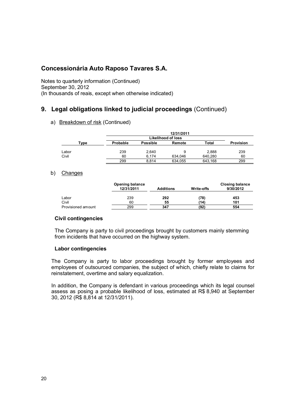Notes to quarterly information (Continued) September 30, 2012 (In thousands of reais, except when otherwise indicated)

# **9. Legal obligations linked to judicial proceedings** (Continued)

a) Breakdown of risk (Continued)

|       |          |                 | 12/31/2011         |         |                  |
|-------|----------|-----------------|--------------------|---------|------------------|
|       |          |                 | Likelihood of loss |         |                  |
| Type  | Probable | <b>Possible</b> | Remote             | Total   | <b>Provision</b> |
| Labor | 239      | 2,640           | 9                  | 2.888   | 239              |
| Civil | 60       | 6.174           | 634.046            | 640.280 | 60               |
|       | 299      | 8.814           | 634,055            | 643,168 | 299              |

#### b) Changes

|                    | <b>Opening balance</b><br>12/31/2011 | <b>Additions</b> | Write-offs | <b>Closing balance</b><br>9/30/2012 |
|--------------------|--------------------------------------|------------------|------------|-------------------------------------|
| Labor              | 239                                  | 292              | (78)       | 453                                 |
| Civil              | 60                                   | 55               | (14)       | 101                                 |
| Provisioned amount | 299                                  | 347              | (92)       | 554                                 |

#### **Civil contingencies**

The Company is party to civil proceedings brought by customers mainly stemming from incidents that have occurred on the highway system.

#### **Labor contingencies**

The Company is party to labor proceedings brought by former employees and employees of outsourced companies, the subject of which, chiefly relate to claims for reinstatement, overtime and salary equalization.

In addition, the Company is defendant in various proceedings which its legal counsel assess as posing a probable likelihood of loss, estimated at R\$ 8,940 at September 30, 2012 (R\$ 8,814 at 12/31/2011).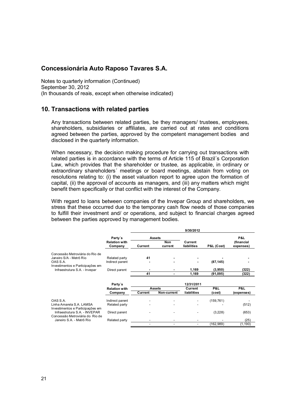Notes to quarterly information (Continued) September 30, 2012 (In thousands of reais, except when otherwise indicated)

### **10. Transactions with related parties**

Any transactions between related parties, be they managers/ trustees, employees, shareholders, subsidiaries or affiliates, are carried out at rates and conditions agreed between the parties, approved by the competent management bodies and disclosed in the quarterly information.

When necessary, the decision making procedure for carrying out transactions with related parties is in accordance with the terms of Article 115 of Brazil´s Corporation Law, which provides that the shareholder or trustee, as applicable, in ordinary or extraordinary shareholders´ meetings or board meetings, abstain from voting on resolutions relating to: (i) the asset valuation report to agree upon the formation of capital, (ii) the approval of accounts as managers, and (iii) any matters which might benefit them specifically or that conflict with the interest of the Company.

With regard to loans between companies of the Invepar Group and shareholders, we stress that these occurred due to the temporary cash flow needs of those companies to fulfill their investment and/ or operations, and subject to financial charges agreed between the parties approved by management bodies.

|                                                                   |                                 |                          |                | 9/30/2012                |            |                         |
|-------------------------------------------------------------------|---------------------------------|--------------------------|----------------|--------------------------|------------|-------------------------|
|                                                                   | Party's                         |                          | <b>Assets</b>  |                          |            | P&L                     |
|                                                                   | <b>Relation with</b><br>Company | Current                  | Non<br>current | Current<br>liabilities   | P&L (Cost) | (financial<br>expenses) |
| Concessão Metroviária do Rio de                                   |                                 |                          |                |                          |            |                         |
| Janeiro S/A - Metrô Rio                                           | Related party                   | 41                       |                |                          |            |                         |
| OAS S.A.                                                          | Indirect parent                 |                          |                |                          | (87, 145)  |                         |
| Investimentos e Participações em<br>Infraestrutura S.A. - Invepar | Direct parent                   |                          |                | 1,169                    | (3,950)    | (322)                   |
|                                                                   |                                 | 41                       |                | 1,169                    | (91, 095)  | (322)                   |
|                                                                   | Party's                         |                          |                | 12/31/2011               |            |                         |
|                                                                   | <b>Relation with</b>            |                          | <b>Assets</b>  | Current                  | P&L        | P&L                     |
|                                                                   | Company                         | Current                  | Non-current    | liabilities              | (cost)     | (expenses)              |
| OAS S.A.                                                          | Indirect parent                 |                          |                |                          | (159, 761) |                         |
| Linha Amarela S.A. LAMSA<br>Investimentos e Participações em      | Related party                   |                          |                |                          |            | (512)                   |
| Infraestrutura S.A. - INVEPAR<br>Concessão Metroviária do Rio de  | Direct parent                   |                          |                |                          | (3,228)    | (653)                   |
| Janeiro S.A. - Metrô Rio                                          | Related party                   |                          |                |                          |            | (25)                    |
|                                                                   |                                 | $\overline{\phantom{a}}$ | -              | $\overline{\phantom{0}}$ | (162, 989) | (1, 190)                |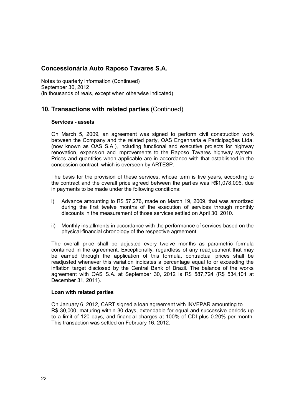Notes to quarterly information (Continued) September 30, 2012 (In thousands of reais, except when otherwise indicated)

# **10. Transactions with related parties** (Continued)

#### **Services - assets**

On March 5, 2009, an agreement was signed to perform civil construction work between the Company and the related party, OAS Engenharia e Participações Ltda. (now known as OAS S.A.), including functional and executive projects for highway renovation, expansion and improvements to the Raposo Tavares highway system. Prices and quantities when applicable are in accordance with that established in the concession contract, which is overseen by ARTESP.

The basis for the provision of these services, whose term is five years, according to the contract and the overall price agreed between the parties was R\$1,078,096, due in payments to be made under the following conditions:

- i) Advance amounting to R\$ 57,276, made on March 19, 2009, that was amortized during the first twelve months of the execution of services through monthly discounts in the measurement of those services settled on April 30, 2010.
- ii) Monthly installments in accordance with the performance of services based on the physical-financial chronology of the respective agreement.

The overall price shall be adjusted every twelve months as parametric formula contained in the agreement. Exceptionally, regardless of any readjustment that may be earned through the application of this formula, contractual prices shall be readjusted whenever this variation indicates a percentage equal to or exceeding the inflation target disclosed by the Central Bank of Brazil. The balance of the works agreement with OAS S.A. at September 30, 2012 is R\$ 587,724 (R\$ 534,101 at December 31, 2011).

#### **Loan with related parties**

On January 6, 2012, CART signed a loan agreement with INVEPAR amounting to R\$ 30,000, maturing within 30 days, extendable for equal and successive periods up to a limit of 120 days, and financial charges at 100% of CDI plus 0.20% per month. This transaction was settled on February 16, 2012.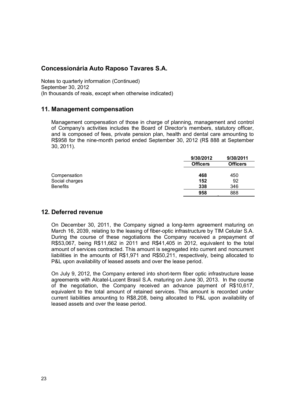Notes to quarterly information (Continued) September 30, 2012 (In thousands of reais, except when otherwise indicated)

### **11. Management compensation**

Management compensation of those in charge of planning, management and control of Company's activities includes the Board of Director's members, statutory officer, and is composed of fees, private pension plan, health and dental care amounting to R\$958 for the nine-month period ended September 30, 2012 (R\$ 888 at September 30, 2011).

|                 | 9/30/2012       | 9/30/2011       |
|-----------------|-----------------|-----------------|
|                 | <b>Officers</b> | <b>Officers</b> |
|                 |                 |                 |
| Compensation    | 468             | 450             |
| Social charges  | 152             | 92              |
| <b>Benefits</b> | 338             | 346             |
|                 | 958             | 888             |

# **12. Deferred revenue**

On December 30, 2011, the Company signed a long-term agreement maturing on March 16, 2039, relating to the leasing of fiber-optic infrastructure by TIM Celular S.A. During the course of these negotiations the Company received a prepayment of R\$53,067, being R\$11,662 in 2011 and R\$41,405 in 2012, equivalent to the total amount of services contracted. This amount is segregated into current and noncurrent liabilities in the amounts of R\$1,971 and R\$50,211, respectively, being allocated to P&L upon availability of leased assets and over the lease period.

On July 9, 2012, the Company entered into short-term fiber optic infrastructure lease agreements with Alcatel-Lucent Brasil S.A. maturing on June 30, 2013. In the course of the negotiation, the Company received an advance payment of R\$10,617, equivalent to the total amount of retained services. This amount is recorded under current liabilities amounting to R\$8,208, being allocated to P&L upon availability of leased assets and over the lease period.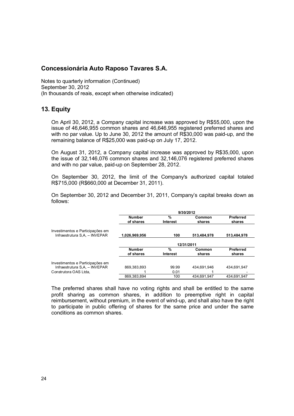Notes to quarterly information (Continued) September 30, 2012 (In thousands of reais, except when otherwise indicated)

# **13. Equity**

On April 30, 2012, a Company capital increase was approved by R\$55,000, upon the issue of 46,646,955 common shares and 46,646,955 registered preferred shares and with no par value. Up to June 30, 2012 the amount of R\$30,000 was paid-up, and the remaining balance of R\$25,000 was paid-up on July 17, 2012.

On August 31, 2012, a Company capital increase was approved by R\$35,000, upon the issue of 32,146,076 common shares and 32,146,076 registered preferred shares and with no par value, paid-up on September 28, 2012.

On September 30, 2012, the limit of the Company's authorized capital totaled R\$715,000 (R\$660,000 at December 31, 2011).

On September 30, 2012 and December 31, 2011, Company's capital breaks down as follows:

|                                                                   | 9/30/2012                  |                      |                  |                            |  |  |
|-------------------------------------------------------------------|----------------------------|----------------------|------------------|----------------------------|--|--|
|                                                                   | <b>Number</b><br>of shares | %<br><b>Interest</b> | Common<br>shares | <b>Preferred</b><br>shares |  |  |
| Investimentos e Participações em<br>Infraestrutura S,A, - INVEPAR | 1,026,969,956              | 100                  | 513,484,978      | 513,484,978                |  |  |
|                                                                   |                            |                      | 12/31/2011       |                            |  |  |
|                                                                   | <b>Number</b><br>of shares | %<br>Interest        | Common<br>shares | <b>Preferred</b><br>shares |  |  |
| Investimentos e Participações em<br>Infraestrutura S.A. - INVEPAR | 869.383.893                | 99.99                | 434.691.946      | 434.691.947                |  |  |
| Construtora OAS Ltda.                                             |                            | 0.01                 |                  |                            |  |  |
|                                                                   | 869.383.894                | 100                  | 434.691.947      | 434.691.947                |  |  |

The preferred shares shall have no voting rights and shall be entitled to the same profit sharing as common shares, in addition to preemptive right in capital reimbursement, without premium, in the event of wind-up, and shall also have the right to participate in public offering of shares for the same price and under the same conditions as common shares.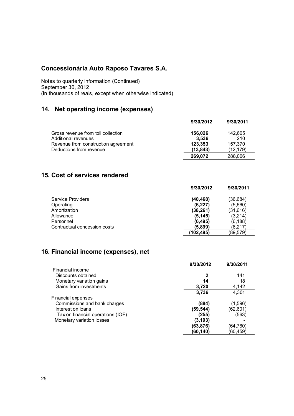Notes to quarterly information (Continued) September 30, 2012 (In thousands of reais, except when otherwise indicated)

# **14. Net operating income (expenses)**

|                                     | 9/30/2012 | 9/30/2011 |
|-------------------------------------|-----------|-----------|
| Gross revenue from toll collection  | 156.026   | 142,605   |
| <b>Additional revenues</b>          | 3.536     | 210       |
| Revenue from construction agreement | 123.353   | 157.370   |
| Deductions from revenue             | (13.843)  | (12.179)  |
|                                     | 269,072   | 288,006   |

# **15. Cost of services rendered**

|                              | 9/30/2012 | 9/30/2011 |
|------------------------------|-----------|-----------|
| Service Providers            | (40, 468) | (36,684)  |
| Operating                    | (6, 227)  | (5,660)   |
| Amortization                 | (38, 261) | (31, 616) |
| Allowance                    | (5,145)   | (3,214)   |
| Personnel                    | (6, 495)  | (6, 188)  |
| Contractual concession costs | (5.899)   | (6,217)   |
|                              | (102,495) | (89, 579) |

# **16. Financial income (expenses), net**

|                                   | 9/30/2012 | 9/30/2011 |
|-----------------------------------|-----------|-----------|
| Financial income                  |           |           |
| Discounts obtained                |           | 141       |
| Monetary variation gains          | 14        | 18        |
| Gains from investments            | 3,720     | 4,142     |
|                                   | 3,736     | 4,301     |
| <b>Financial expenses</b>         |           |           |
| Commissions and bank charges      | (884)     | (1,596)   |
| Interest on loans                 | (59, 544) | (62, 601) |
| Tax on financial operations (IOF) | (255)     | (563)     |
| Monetary variation losses         | (3,193)   |           |
|                                   | (63,876)  | (64,760)  |
|                                   | (60,140)  | (60,459)  |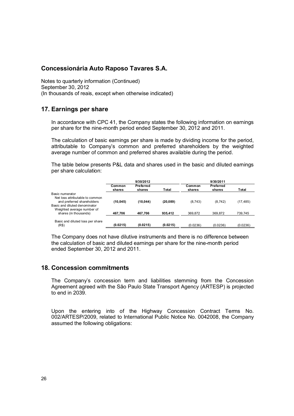Notes to quarterly information (Continued) September 30, 2012 (In thousands of reais, except when otherwise indicated)

# **17. Earnings per share**

In accordance with CPC 41, the Company states the following information on earnings per share for the nine-month period ended September 30, 2012 and 2011.

The calculation of basic earnings per share is made by dividing income for the period, attributable to Company's common and preferred shareholders by the weighted average number of common and preferred shares available during the period.

The table below presents P&L data and shares used in the basic and diluted earnings per share calculation:

|                                                                                                                   | 9/30/2012        |                     |           | 9/30/2011        |                     |           |
|-------------------------------------------------------------------------------------------------------------------|------------------|---------------------|-----------|------------------|---------------------|-----------|
|                                                                                                                   | Common<br>shares | Preferred<br>shares | Total     | Common<br>shares | Preferred<br>shares | Total     |
| Basic numerator<br>Net loss attributable to common<br>and preferred shareholders<br>Basic and diluted denominator | (10, 045)        | (10, 044)           | (20, 089) | (8,743)          | (8, 742)            | (17, 485) |
| Weighted average number of<br>shares (in thousands)                                                               | 467.706          | 467.706             | 935.412   | 369.872          | 369.872             | 739.745   |
| Basic and diluted loss per share<br>(R\$)                                                                         | (0.0215)         | (0.0215)            | (0.0215)  | (0.0236)         | (0.0236)            | (0.0236)  |

The Company does not have dilutive instruments and there is no difference between the calculation of basic and diluted earnings per share for the nine-month period ended September 30, 2012 and 2011.

# **18. Concession commitments**

The Company's concession term and liabilities stemming from the Concession Agreement agreed with the São Paulo State Transport Agency (ARTESP) is projected to end in 2039.

Upon the entering into of the Highway Concession Contract Terms No. 002/ARTESP/2009, related to International Public Notice No. 0042008, the Company assumed the following obligations: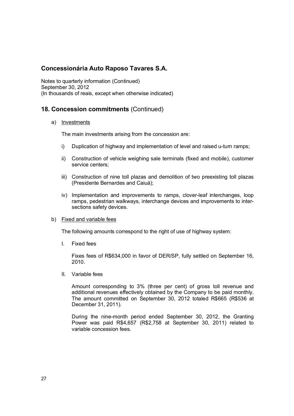Notes to quarterly information (Continued) September 30, 2012 (In thousands of reais, except when otherwise indicated)

# **18. Concession commitments** (Continued)

#### a) Investments

The main investments arising from the concession are:

- i) Duplication of highway and implementation of level and raised u-turn ramps;
- ii) Construction of vehicle weighing sale terminals (fixed and mobile), customer service centers;
- iii) Construction of nine toll plazas and demolition of two preexisting toll plazas (Presidente Bernardes and Caiuá);
- iv) Implementation and improvements to ramps, clover-leaf interchanges, loop ramps, pedestrian walkways, interchange devices and improvements to intersections safety devices.

#### b) Fixed and variable fees

The following amounts correspond to the right of use of highway system:

I. Fixed fees

Fixes fees of R\$634,000 in favor of DER/SP, fully settled on September 16, 2010.

II. Variable fees

Amount corresponding to 3% (three per cent) of gross toll revenue and additional revenues effectively obtained by the Company to be paid monthly. The amount committed on September 30, 2012 totaled R\$665 (R\$536 at December 31, 2011).

During the nine-month period ended September 30, 2012, the Granting Power was paid R\$4,657 (R\$2,758 at September 30, 2011) related to variable concession fees.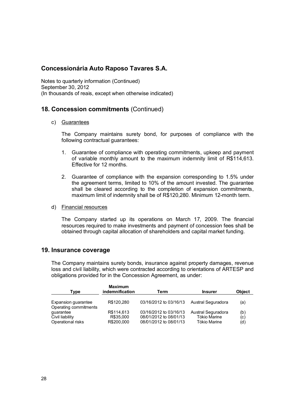Notes to quarterly information (Continued) September 30, 2012 (In thousands of reais, except when otherwise indicated)

# **18. Concession commitments** (Continued)

#### c) Guarantees

The Company maintains surety bond, for purposes of compliance with the following contractual guarantees:

- 1. Guarantee of compliance with operating commitments, upkeep and payment of variable monthly amount to the maximum indemnity limit of R\$114,613. Effective for 12 months.
- 2. Guarantee of compliance with the expansion corresponding to 1.5% under the agreement terms, limited to 10% of the amount invested. The guarantee shall be cleared according to the completion of expansion commitments, maximum limit of indemnity shall be of R\$120,280. Minimum 12-month term.
- d) Financial resources

The Company started up its operations on March 17, 2009. The financial resources required to make investments and payment of concession fees shall be obtained through capital allocation of shareholders and capital market funding.

#### **19. Insurance coverage**

The Company maintains surety bonds, insurance against property damages, revenue loss and civil liability, which were contracted according to orientations of ARTESP and obligations provided for in the Concession Agreement, as under:

| Type                               | <u>Maximum</u><br>indemnification | Term                   | <b>Insurer</b>      | <b>Object</b> |  |
|------------------------------------|-----------------------------------|------------------------|---------------------|---------------|--|
| Expansion guarantee                | R\$120,280                        | 03/16/2012 to 03/16/13 | Austral Seguradora  | (a)           |  |
| Operating commitments<br>quarantee | R\$114,613                        | 03/16/2012 to 03/16/13 | Austral Seguradora  | (b)           |  |
| Civil liability                    | R\$35,000                         | 08/01/2012 to 08/01/13 | <b>Tókio Marine</b> | (c)           |  |
| Operational risks                  | R\$200,000                        | 08/01/2012 to 08/01/13 | Tókio Marine        | (d)           |  |

 $\mathbf{M}$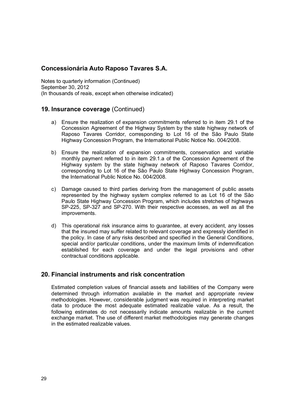Notes to quarterly information (Continued) September 30, 2012 (In thousands of reais, except when otherwise indicated)

### **19. Insurance coverage** (Continued)

- a) Ensure the realization of expansion commitments referred to in item 29.1 of the Concession Agreement of the Highway System by the state highway network of Raposo Tavares Corridor, corresponding to Lot 16 of the São Paulo State Highway Concession Program, the International Public Notice No. 004/2008.
- b) Ensure the realization of expansion commitments, conservation and variable monthly payment referred to in item 29.1.a of the Concession Agreement of the Highway system by the state highway network of Raposo Tavares Corridor, corresponding to Lot 16 of the São Paulo State Highway Concession Program, the International Public Notice No. 004/2008.
- c) Damage caused to third parties deriving from the management of public assets represented by the highway system complex referred to as Lot 16 of the São Paulo State Highway Concession Program, which includes stretches of highways SP-225, SP-327 and SP-270. With their respective accesses, as well as all the improvements.
- d) This operational risk insurance aims to guarantee, at every accident, any losses that the insured may suffer related to relevant coverage and expressly identified in the policy. In case of any risks described and specified in the General Conditions, special and/or particular conditions, under the maximum limits of indemnification established for each coverage and under the legal provisions and other contractual conditions applicable.

# **20. Financial instruments and risk concentration**

Estimated completion values of financial assets and liabilities of the Company were determined through information available in the market and appropriate review methodologies. However, considerable judgment was required in interpreting market data to produce the most adequate estimated realizable value. As a result, the following estimates do not necessarily indicate amounts realizable in the current exchange market. The use of different market methodologies may generate changes in the estimated realizable values.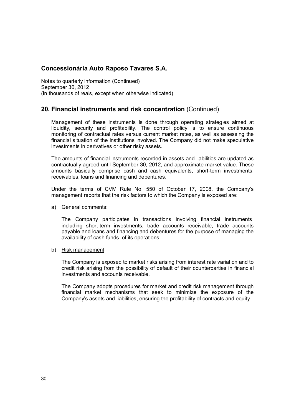Notes to quarterly information (Continued) September 30, 2012 (In thousands of reais, except when otherwise indicated)

# **20. Financial instruments and risk concentration** (Continued)

Management of these instruments is done through operating strategies aimed at liquidity, security and profitability. The control policy is to ensure continuous monitoring of contractual rates versus current market rates, as well as assessing the financial situation of the institutions involved. The Company did not make speculative investments in derivatives or other risky assets.

The amounts of financial instruments recorded in assets and liabilities are updated as contractually agreed until September 30, 2012, and approximate market value. These amounts basically comprise cash and cash equivalents, short-term investments, receivables, loans and financing and debentures.

Under the terms of CVM Rule No. 550 of October 17, 2008, the Company's management reports that the risk factors to which the Company is exposed are:

#### a) General comments:

The Company participates in transactions involving financial instruments, including short-term investments, trade accounts receivable, trade accounts payable and loans and financing and debentures for the purpose of managing the availability of cash funds of its operations.

#### b) Risk management

The Company is exposed to market risks arising from interest rate variation and to credit risk arising from the possibility of default of their counterparties in financial investments and accounts receivable.

The Company adopts procedures for market and credit risk management through financial market mechanisms that seek to minimize the exposure of the Company's assets and liabilities, ensuring the profitability of contracts and equity.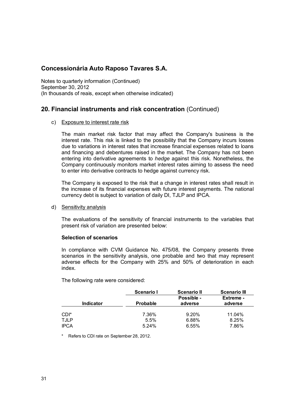Notes to quarterly information (Continued) September 30, 2012 (In thousands of reais, except when otherwise indicated)

# **20. Financial instruments and risk concentration** (Continued)

#### c) Exposure to interest rate risk

The main market risk factor that may affect the Company's business is the interest rate. This risk is linked to the possibility that the Company incurs losses due to variations in interest rates that increase financial expenses related to loans and financing and debentures raised in the market. The Company has not been entering into derivative agreements to *hedge* against this risk. Nonetheless, the Company continuously monitors market interest rates aiming to assess the need to enter into derivative contracts to hedge against currency risk.

The Company is exposed to the risk that a change in interest rates shall result in the increase of its financial expenses with future interest payments. The national currency debt is subject to variation of daily DI, TJLP and IPCA.

#### d) Sensitivity analysis

The evaluations of the sensitivity of financial instruments to the variables that present risk of variation are presented below:

#### **Selection of scenarios**

In compliance with CVM Guidance No. 475/08, the Company presents three scenarios in the sensitivity analysis, one probable and two that may represent adverse effects for the Company with 25% and 50% of deterioration in each index.

The following rate were considered:

|                  | Scenario I      | <b>Scenario II</b> | <b>Scenario III</b> |
|------------------|-----------------|--------------------|---------------------|
|                  |                 | Possible -         | Extreme -           |
| <b>Indicator</b> | <b>Probable</b> | adverse            | adverse             |
|                  |                 |                    |                     |
| CDI*             | 7.36%           | 9.20%              | 11.04%              |
| <b>TJLP</b>      | 5.5%            | 6.88%              | 8.25%               |
| <b>IPCA</b>      | 5.24%           | 6.55%              | 7.86%               |

Refers to CDI rate on September 28, 2012.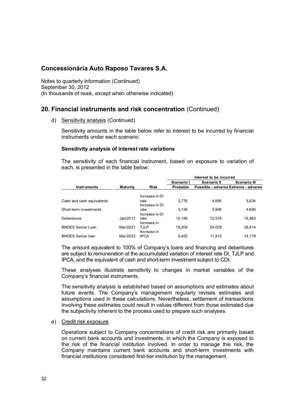Notes to quarterly information (Continued) September 30, 2012 (In thousands of reais, except when otherwise indicated)

# **20. Financial instruments and risk concentration** (Continued)

d) Sensitivity analysis (Continued)

Sensitivity amounts in the table below refer to interest to be incurred by financial instruments under each scenario.

#### **Sensitivity analysis of interest rate variations**

The sensitivity of each financial instrument, based on exposure to variation of each, is presented in the table below:

|                           |                 |                        | Interest to be incurred |                                      |                     |  |
|---------------------------|-----------------|------------------------|-------------------------|--------------------------------------|---------------------|--|
|                           |                 |                        | Scenario I              | Scenario II                          | <b>Scenario III</b> |  |
| <b>Instruments</b>        | <b>Maturity</b> | <b>Risk</b>            | Probable                | Possible - adverse Extreme - adverse |                     |  |
|                           |                 | Increase in DI         |                         |                                      |                     |  |
| Cash and cash equivalents |                 | rate<br>Increase in DI | 3.776                   | 4.695                                | 5,634               |  |
| Short-term investments    |                 | rate<br>Increase in DI | 3,126                   | 3.908                                | 4.690               |  |
| Debentures                | Jan/2013        | rate<br>Increase in    | 10.146                  | 12.578                               | 14,983              |  |
| <b>BNDES Senior Loan</b>  | Mar/2021        | TJLP<br>Increase in    | 19.209                  | 24.029                               | 28,814              |  |
| <b>BNDES Senior loan</b>  | Mar/2023        | <b>IPCA</b>            | 9.452                   | 11.815                               | 14.178              |  |

The amount equivalent to 100% of Company's loans and financing and debentures are subject to remuneration at the accumulated variation of interest rate DI, TJLP and IPCA, and the equivalent of cash and short-term investment subject to CDI.

These analyses illustrate sensitivity to changes in market variables of the Company's financial instruments.

The sensitivity analysis is established based on assumptions and estimates about future events. The Company's management regularly revises estimates and assumptions used in these calculations. Nevertheless, settlement of transactions involving these estimates could result in values different from those estimated due the subjectivity inherent to the process used to prepare such analyses.

#### e) Credit risk exposure

Operations subject to Company concentrations of credit risk are primarily based on current bank accounts and investments, in which the Company is exposed to the risk of the financial institution involved. In order to manage this risk, the Company maintains current bank accounts and short-term investments with financial institutions considered first-tier institution by the management.